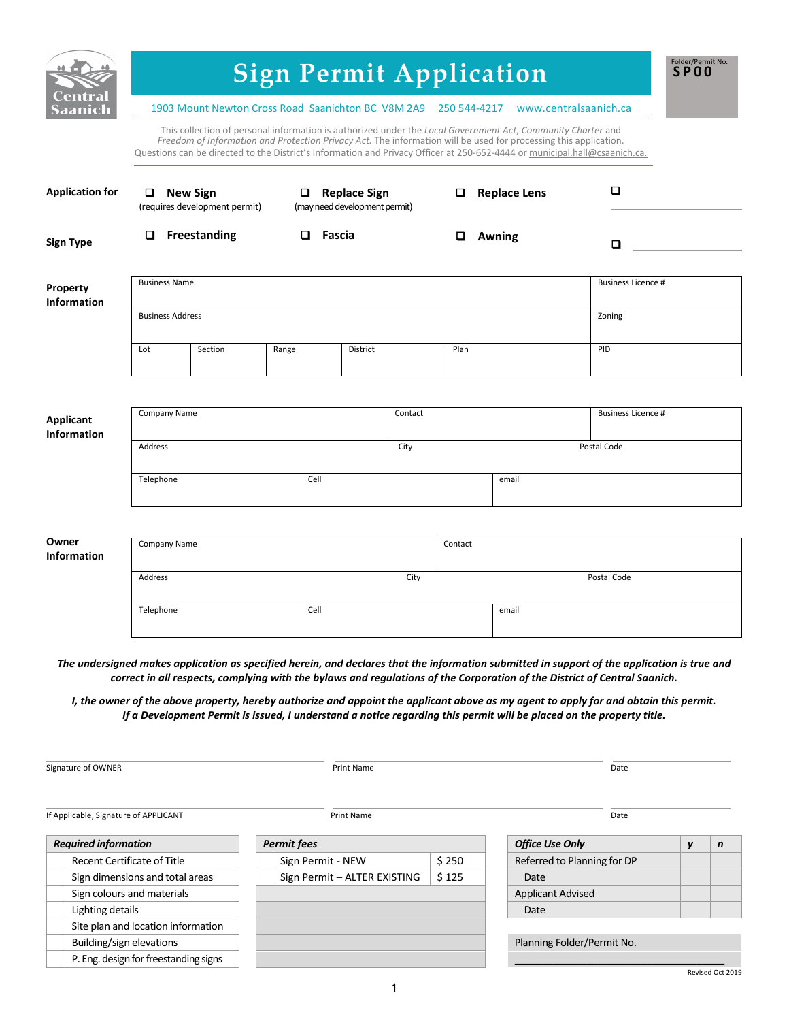| aanic                           | <b>Sign Permit Application</b><br>1903 Mount Newton Cross Road Saanichton BC V8M 2A9<br>www.centralsaanich.ca<br>250 544-4217                                                                                                                                                                                                                                 |                               |               |                                                      |             |                     |                           |  |  |
|---------------------------------|---------------------------------------------------------------------------------------------------------------------------------------------------------------------------------------------------------------------------------------------------------------------------------------------------------------------------------------------------------------|-------------------------------|---------------|------------------------------------------------------|-------------|---------------------|---------------------------|--|--|
|                                 | This collection of personal information is authorized under the Local Government Act, Community Charter and<br>Freedom of Information and Protection Privacy Act. The information will be used for processing this application.<br>Questions can be directed to the District's Information and Privacy Officer at 250-652-4444 or municipal.hall@csaanich.ca. |                               |               |                                                      |             |                     |                           |  |  |
| <b>Application for</b>          | $\Box$ New Sign                                                                                                                                                                                                                                                                                                                                               | (requires development permit) |               | $\Box$ Replace Sign<br>(may need development permit) | o           | <b>Replace Lens</b> | О                         |  |  |
| <b>Sign Type</b>                | o                                                                                                                                                                                                                                                                                                                                                             | <b>Freestanding</b>           | $\Box$ Fascia |                                                      | o           | Awning              | ◻                         |  |  |
| Property<br><b>Information</b>  | <b>Business Name</b>                                                                                                                                                                                                                                                                                                                                          |                               |               |                                                      |             |                     | <b>Business Licence #</b> |  |  |
|                                 | <b>Business Address</b>                                                                                                                                                                                                                                                                                                                                       |                               |               |                                                      | Zoning      |                     |                           |  |  |
|                                 | Lot                                                                                                                                                                                                                                                                                                                                                           | Section                       | Range         | <b>District</b>                                      | Plan        |                     | PID                       |  |  |
|                                 | Company Name                                                                                                                                                                                                                                                                                                                                                  |                               |               | Contact                                              |             |                     | <b>Business Licence #</b> |  |  |
| Applicant<br><b>Information</b> |                                                                                                                                                                                                                                                                                                                                                               |                               |               |                                                      |             |                     |                           |  |  |
|                                 | City<br>Address                                                                                                                                                                                                                                                                                                                                               |                               |               |                                                      |             | Postal Code         |                           |  |  |
|                                 | Telephone                                                                                                                                                                                                                                                                                                                                                     |                               |               | Cell                                                 |             | email               |                           |  |  |
|                                 |                                                                                                                                                                                                                                                                                                                                                               |                               |               |                                                      |             |                     |                           |  |  |
| Owner<br><b>Information</b>     | Company Name                                                                                                                                                                                                                                                                                                                                                  |                               |               |                                                      | Contact     |                     |                           |  |  |
|                                 | Address<br>City                                                                                                                                                                                                                                                                                                                                               |                               |               |                                                      | Postal Code |                     |                           |  |  |
|                                 | Cell<br>Telephone                                                                                                                                                                                                                                                                                                                                             |                               |               |                                                      |             | email               |                           |  |  |
|                                 |                                                                                                                                                                                                                                                                                                                                                               |                               |               |                                                      |             |                     |                           |  |  |

*I*, the owner of the above property, hereby authorize and appoint the applicant above as my agent to apply for and obtain this permit. *If a Development Permit is issued, I understand a notice regarding this permit will be placed on the property title.*

**Signature of OWNER** Date **Date** Date **Date Print Name Date Date Date Date** 

If Applicable, Signature of APPLICANT Date

| <b>Required information</b>           | <b>Permit fees</b>           |       | <b>Office Use Only</b>      |  |
|---------------------------------------|------------------------------|-------|-----------------------------|--|
| Recent Certificate of Title           | Sign Permit - NEW            | \$250 | Referred to Planning for DP |  |
| Sign dimensions and total areas       | Sign Permit - ALTER EXISTING | \$125 | Date                        |  |
| Sign colours and materials            |                              |       | <b>Applicant Advised</b>    |  |
| Lighting details                      |                              |       | Date                        |  |
| Site plan and location information    |                              |       |                             |  |
| Building/sign elevations              |                              |       | Planning Folder/Permit No.  |  |
| P. Eng. design for freestanding signs |                              |       |                             |  |